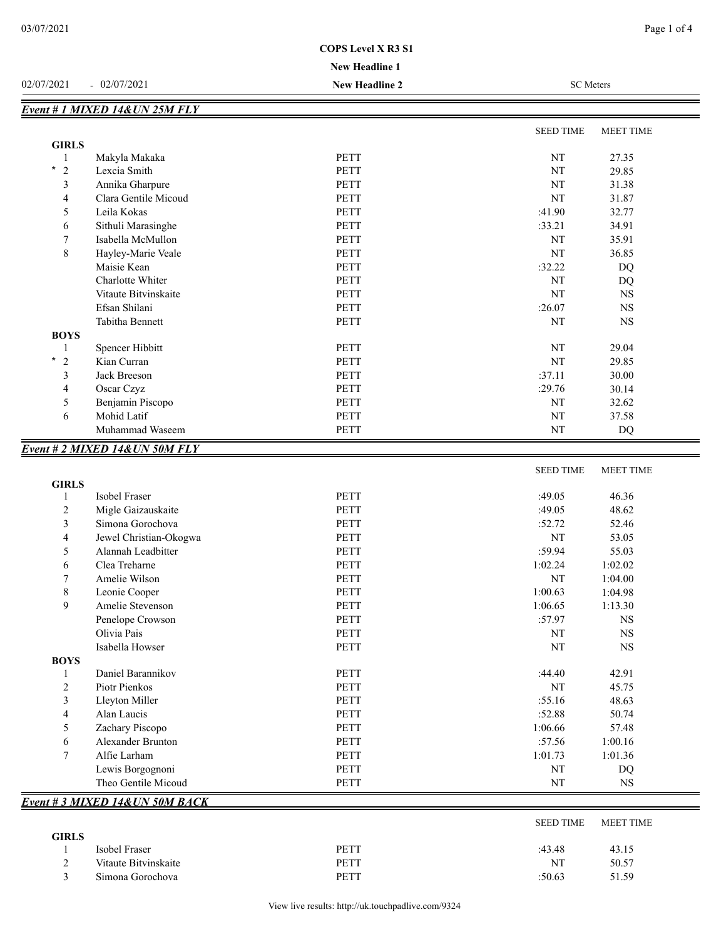## **New Headline 1**

#### 02/07/2021 - 02/07/2021 **New Headline 2** SC Meters

|                           |                      |             | <b>SEED TIME</b> | MEET TIME |
|---------------------------|----------------------|-------------|------------------|-----------|
| <b>GIRLS</b>              |                      |             |                  |           |
|                           | Makyla Makaka        | PETT        | NT               | 27.35     |
| $\star$<br>$\overline{2}$ | Lexcia Smith         | <b>PETT</b> | NT               | 29.85     |
| 3                         | Annika Gharpure      | <b>PETT</b> | NT               | 31.38     |
| 4                         | Clara Gentile Micoud | PETT        | NT               | 31.87     |
| 5                         | Leila Kokas          | PETT        | :41.90           | 32.77     |
| 6                         | Sithuli Marasinghe   | PETT        | :33.21           | 34.91     |
| 7                         | Isabella McMullon    | PETT        | NT               | 35.91     |
| 8                         | Hayley-Marie Veale   | <b>PETT</b> | NT               | 36.85     |
|                           | Maisie Kean          | PETT        | :32.22           | DQ        |
|                           | Charlotte Whiter     | <b>PETT</b> | NT               | DQ        |
|                           | Vitaute Bitvinskaite | <b>PETT</b> | NT               | <b>NS</b> |
|                           | Efsan Shilani        | PETT        | :26.07           | <b>NS</b> |
|                           | Tabitha Bennett      | <b>PETT</b> | NT               | <b>NS</b> |
| <b>BOYS</b>               |                      |             |                  |           |
|                           | Spencer Hibbitt      | PETT        | NT               | 29.04     |
| $^\star$<br>2             | Kian Curran          | <b>PETT</b> | NT               | 29.85     |
| 3                         | Jack Breeson         | <b>PETT</b> | :37.11           | 30.00     |
| 4                         | Oscar Czyz           | <b>PETT</b> | :29.76           | 30.14     |
| 5                         | Benjamin Piscopo     | PETT        | NT               | 32.62     |
| 6                         | Mohid Latif          | PETT        | NT               | 37.58     |
|                           | Muhammad Waseem      | PETT        | NT               | DQ        |

|                |                                 |             | <b>SEED TIME</b> | <b>MEET TIME</b> |
|----------------|---------------------------------|-------------|------------------|------------------|
| <b>GIRLS</b>   |                                 |             |                  |                  |
|                | Isobel Fraser                   | <b>PETT</b> | :49.05           | 46.36            |
| $\overline{c}$ | Migle Gaizauskaite              | <b>PETT</b> | :49.05           | 48.62            |
| 3              | Simona Gorochova                | <b>PETT</b> | :52.72           | 52.46            |
| 4              | Jewel Christian-Okogwa          | PETT        | NT               | 53.05            |
| 5              | Alannah Leadbitter              | <b>PETT</b> | :59.94           | 55.03            |
| 6              | Clea Treharne                   | <b>PETT</b> | 1:02.24          | 1:02.02          |
| 7              | Amelie Wilson                   | <b>PETT</b> | <b>NT</b>        | 1:04.00          |
| 8              | Leonie Cooper                   | <b>PETT</b> | 1:00.63          | 1:04.98          |
| 9              | Amelie Stevenson                | <b>PETT</b> | 1:06.65          | 1:13.30          |
|                | Penelope Crowson                | <b>PETT</b> | :57.97           | <b>NS</b>        |
|                | Olivia Pais                     | <b>PETT</b> | <b>NT</b>        | <b>NS</b>        |
|                | Isabella Howser                 | <b>PETT</b> | NT               | <b>NS</b>        |
| <b>BOYS</b>    |                                 |             |                  |                  |
|                | Daniel Barannikov               | <b>PETT</b> | :44.40           | 42.91            |
| $\overline{c}$ | Piotr Pienkos                   | <b>PETT</b> | NT               | 45.75            |
| 3              | Lleyton Miller                  | <b>PETT</b> | :55.16           | 48.63            |
| 4              | Alan Laucis                     | <b>PETT</b> | :52.88           | 50.74            |
| 5              | Zachary Piscopo                 | <b>PETT</b> | 1:06.66          | 57.48            |
| 6              | Alexander Brunton               | PETT        | :57.56           | 1:00.16          |
| 7              | Alfie Larham                    | <b>PETT</b> | 1:01.73          | 1:01.36          |
|                | Lewis Borgognoni                | <b>PETT</b> | NT               | <b>DQ</b>        |
|                | Theo Gentile Micoud             | PETT        | NT               | <b>NS</b>        |
|                | Event # 3 MIXED 14& UN 50M BACK |             |                  |                  |

|              |                      |      | <b>SEED TIME</b> | MEET TIME |
|--------------|----------------------|------|------------------|-----------|
| <b>GIRLS</b> |                      |      |                  |           |
|              | Isobel Fraser        | PETT | :43.48           | 43.15     |
|              | Vitaute Bitvinskaite | PETT | NT               | 50.57     |
|              | Simona Gorochova     | PETT | :50.63           | 51.59     |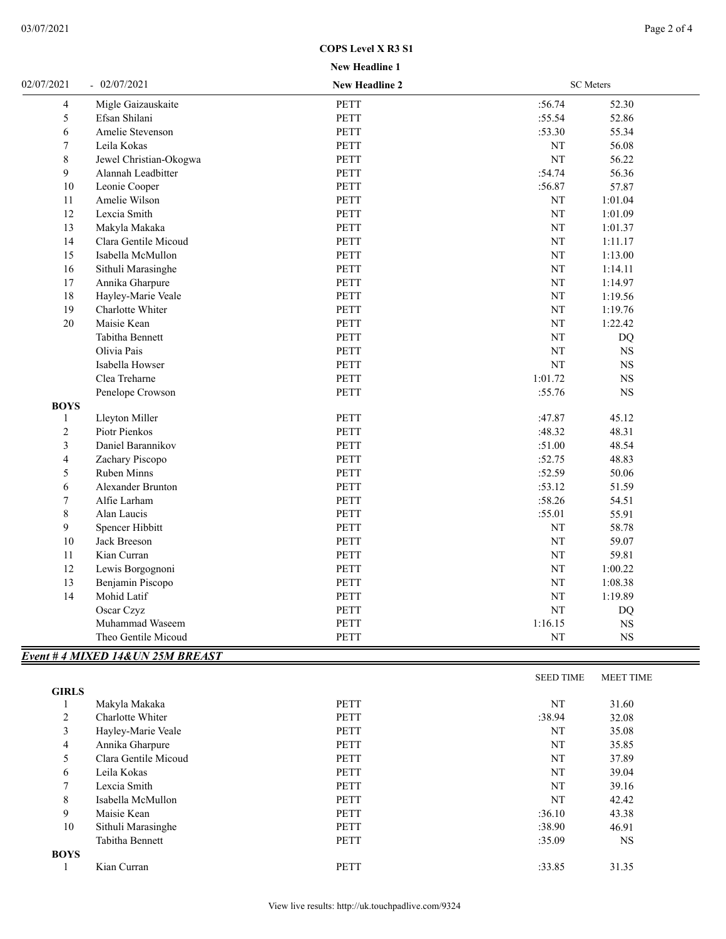### **COPS Level X R3 S1**

# **New Headline 1**

| 02/07/2021              | $-02/07/2021$                     | <b>New Headline 2</b> |           | <b>SC</b> Meters |  |
|-------------------------|-----------------------------------|-----------------------|-----------|------------------|--|
| 4                       | Migle Gaizauskaite                | PETT                  | :56.74    | 52.30            |  |
| 5                       | Efsan Shilani                     | PETT                  | :55.54    | 52.86            |  |
| 6                       | Amelie Stevenson                  | PETT                  | :53.30    | 55.34            |  |
| 7                       | Leila Kokas                       | <b>PETT</b>           | NT        | 56.08            |  |
| 8                       | Jewel Christian-Okogwa            | PETT                  | NT        | 56.22            |  |
| 9                       | Alannah Leadbitter                | PETT                  | :54.74    | 56.36            |  |
| 10                      | Leonie Cooper                     | PETT                  | :56.87    | 57.87            |  |
| 11                      | Amelie Wilson                     | PETT                  | NT        | 1:01.04          |  |
| 12                      | Lexcia Smith                      | PETT                  | NT        | 1:01.09          |  |
| 13                      | Makyla Makaka                     | PETT                  | NT        | 1:01.37          |  |
| 14                      | Clara Gentile Micoud              | PETT                  | NT        | 1:11.17          |  |
| 15                      | Isabella McMullon                 | PETT                  | NT        | 1:13.00          |  |
| 16                      | Sithuli Marasinghe                | <b>PETT</b>           | NT        | 1:14.11          |  |
| 17                      | Annika Gharpure                   | PETT                  | NT        | 1:14.97          |  |
| 18                      | Hayley-Marie Veale                | PETT                  | NT        | 1:19.56          |  |
| 19                      | Charlotte Whiter                  | PETT                  | NT        | 1:19.76          |  |
| 20                      | Maisie Kean                       | PETT                  | NT        | 1:22.42          |  |
|                         | Tabitha Bennett                   | PETT                  | NT        | DQ               |  |
|                         | Olivia Pais                       | PETT                  | NT        | <b>NS</b>        |  |
|                         | Isabella Howser                   | PETT                  | NT        | <b>NS</b>        |  |
|                         | Clea Treharne                     | PETT                  | 1:01.72   | $_{\rm NS}$      |  |
|                         | Penelope Crowson                  | PETT                  | :55.76    | $_{\rm NS}$      |  |
| <b>BOYS</b>             |                                   |                       |           |                  |  |
| 1                       | Lleyton Miller                    | PETT                  | :47.87    | 45.12            |  |
| $\overline{c}$          | Piotr Pienkos                     | PETT                  | :48.32    | 48.31            |  |
| $\overline{\mathbf{3}}$ | Daniel Barannikov                 | PETT                  | :51.00    | 48.54            |  |
| 4                       | Zachary Piscopo                   | PETT                  | :52.75    | 48.83            |  |
| 5                       | Ruben Minns                       | PETT                  | :52.59    | 50.06            |  |
| 6                       | <b>Alexander Brunton</b>          | PETT                  | :53.12    | 51.59            |  |
| 7                       | Alfie Larham                      | PETT                  | :58.26    | 54.51            |  |
| $\,8\,$                 | Alan Laucis                       | PETT                  | :55.01    | 55.91            |  |
| 9                       | Spencer Hibbitt                   | PETT                  | $\rm{NT}$ | 58.78            |  |
| 10                      | Jack Breeson                      | PETT                  | $\rm{NT}$ | 59.07            |  |
| 11                      | Kian Curran                       | PETT                  | NT        | 59.81            |  |
| 12                      | Lewis Borgognoni                  | PETT                  | $\rm{NT}$ | 1:00.22          |  |
| 13                      | Benjamin Piscopo                  | PETT                  | $\rm{NT}$ | 1:08.38          |  |
| 14                      | Mohid Latif                       | PETT                  | $\rm{NT}$ | 1:19.89          |  |
|                         | Oscar Czyz                        | PETT                  | $\rm{NT}$ | DQ               |  |
|                         | Muhammad Waseem                   | PETT                  | 1:16.15   | $_{\rm NS}$      |  |
|                         | Theo Gentile Micoud               | PETT                  | NT        | $_{\rm NS}$      |  |
|                         | Event # 4 MIXED 14& UN 25M BREAST |                       |           |                  |  |

|              |                      |             | <b>SEED TIME</b> | <b>MEET TIME</b> |
|--------------|----------------------|-------------|------------------|------------------|
| <b>GIRLS</b> |                      |             |                  |                  |
|              | Makyla Makaka        | <b>PETT</b> | NT               | 31.60            |
| 2            | Charlotte Whiter     | <b>PETT</b> | :38.94           | 32.08            |
| 3            | Hayley-Marie Veale   | <b>PETT</b> | NT               | 35.08            |
| 4            | Annika Gharpure      | <b>PETT</b> | NT               | 35.85            |
| 5            | Clara Gentile Micoud | <b>PETT</b> | NT               | 37.89            |
| 6            | Leila Kokas          | <b>PETT</b> | NT               | 39.04            |
| 7            | Lexcia Smith         | <b>PETT</b> | NT               | 39.16            |
| 8            | Isabella McMullon    | <b>PETT</b> | NT               | 42.42            |
| 9            | Maisie Kean          | <b>PETT</b> | :36.10           | 43.38            |
| 10           | Sithuli Marasinghe   | <b>PETT</b> | :38.90           | 46.91            |
|              | Tabitha Bennett      | <b>PETT</b> | :35.09           | <b>NS</b>        |
| <b>BOYS</b>  |                      |             |                  |                  |
|              | Kian Curran          | <b>PETT</b> | :33.85           | 31.35            |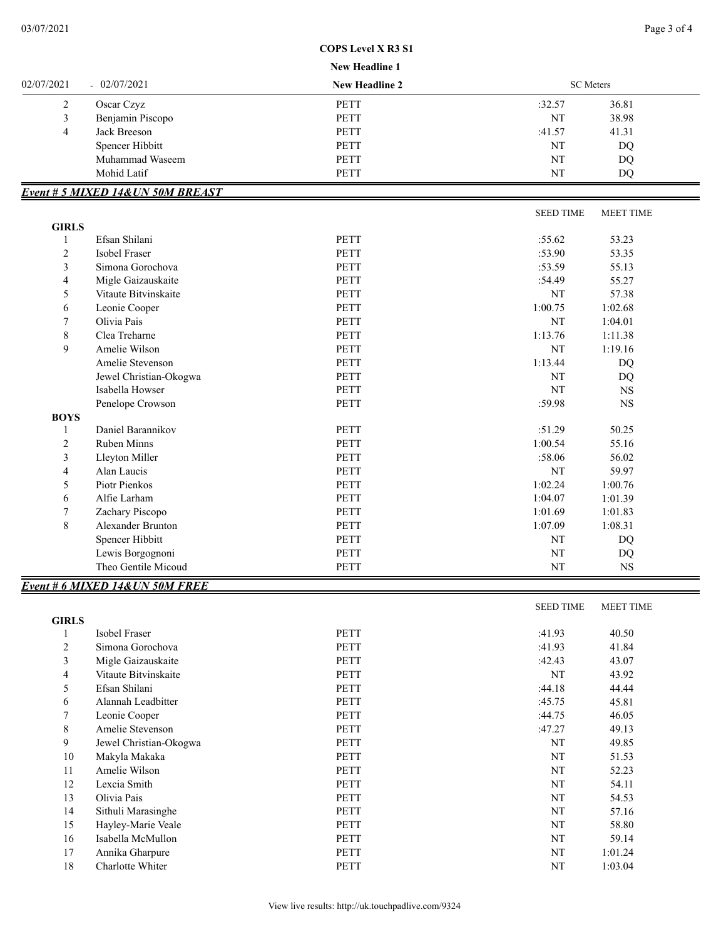#### **COPS Level X R3 S1**

#### **New Headline 1**

|            |                                   | TICW TICAUMIC T       |        |                  |  |  |
|------------|-----------------------------------|-----------------------|--------|------------------|--|--|
| 02/07/2021 | $-02/07/2021$                     | <b>New Headline 2</b> |        | <b>SC</b> Meters |  |  |
|            | Oscar Czyz                        | <b>PETT</b>           | :32.57 | 36.81            |  |  |
|            | Benjamin Piscopo                  | <b>PETT</b>           | NT     | 38.98            |  |  |
| 4          | Jack Breeson                      | <b>PETT</b>           | :41.57 | 41.31            |  |  |
|            | Spencer Hibbitt                   | <b>PETT</b>           | NT     | DQ               |  |  |
|            | Muhammad Waseem                   | <b>PETT</b>           | NT     | DQ               |  |  |
|            | Mohid Latif                       | <b>PETT</b>           | NT     | DO               |  |  |
|            | Event # 5 MIXED 14& UN 50M BREAST |                       |        |                  |  |  |

|              |                        |             | <b>SEED TIME</b> | <b>MEET TIME</b> |
|--------------|------------------------|-------------|------------------|------------------|
| <b>GIRLS</b> |                        |             |                  |                  |
|              | Efsan Shilani          | <b>PETT</b> | :55.62           | 53.23            |
| 2            | Isobel Fraser          | <b>PETT</b> | :53.90           | 53.35            |
| 3            | Simona Gorochova       | <b>PETT</b> | :53.59           | 55.13            |
| 4            | Migle Gaizauskaite     | <b>PETT</b> | :54.49           | 55.27            |
| 5            | Vitaute Bitvinskaite   | <b>PETT</b> | NT               | 57.38            |
| 6            | Leonie Cooper          | <b>PETT</b> | 1:00.75          | 1:02.68          |
| 7            | Olivia Pais            | <b>PETT</b> | NT               | 1:04.01          |
| 8            | Clea Treharne          | <b>PETT</b> | 1:13.76          | 1:11.38          |
| 9            | Amelie Wilson          | <b>PETT</b> | NT               | 1:19.16          |
|              | Amelie Stevenson       | <b>PETT</b> | 1:13.44          | DQ               |
|              | Jewel Christian-Okogwa | <b>PETT</b> | NT               | DQ               |
|              | Isabella Howser        | <b>PETT</b> | NT               | <b>NS</b>        |
|              | Penelope Crowson       | <b>PETT</b> | :59.98           | <b>NS</b>        |
| <b>BOYS</b>  |                        |             |                  |                  |
|              | Daniel Barannikov      | <b>PETT</b> | :51.29           | 50.25            |
| 2            | <b>Ruben Minns</b>     | <b>PETT</b> | 1:00.54          | 55.16            |
| 3            | Lleyton Miller         | <b>PETT</b> | :58.06           | 56.02            |
| 4            | Alan Laucis            | <b>PETT</b> | NT               | 59.97            |
| 5            | Piotr Pienkos          | <b>PETT</b> | 1:02.24          | 1:00.76          |
| 6            | Alfie Larham           | <b>PETT</b> | 1:04.07          | 1:01.39          |
| 7            | Zachary Piscopo        | <b>PETT</b> | 1:01.69          | 1:01.83          |
| 8            | Alexander Brunton      | <b>PETT</b> | 1:07.09          | 1:08.31          |
|              | Spencer Hibbitt        | <b>PETT</b> | NT               | <b>DQ</b>        |
|              | Lewis Borgognoni       | <b>PETT</b> | NT               | DQ               |
|              | Theo Gentile Micoud    | PETT        | NT               | NS               |

#### SEED TIME MEET TIME **GIRLS** 1 Isobel Fraser 2005 and the PETT 31.93 40.50 2 Simona Gorochova PETT :41.93 41.84 3 Migle Gaizauskaite **PETT** 2.43 43.07 4 Vitaute Bitvinskaite **PETT** NT 43.92 5 Efsan Shilani PETT :44.18 44.44 6 Alannah Leadbitter PETT :45.75 45.81 7 Leonie Cooper PETT : 44.75 46.05 8 Amelie Stevenson **PETT** : 47.27 49.13 9 Jewel Christian-Okogwa PETT NT 49.85 10 Makyla Makaka **PETT** NT 51.53 11 Amelie Wilson **PETT** NT 52.23 12 Lexcia Smith 64.11 13 Olivia Pais **PETT** NT 54.53 14 Sithuli Marasinghe PETT NT 57.16 15 Hayley-Marie Veale 28.80 PETT 2012 PETT 2012 PETT 2012 PETT 38.80 16 Isabella McMullon **PETT** NT 59.14 17 Annika Gharpure 1:01.24 PETT NT 1:01.24 18 Charlotte Whiter PETT NT 1:03.04